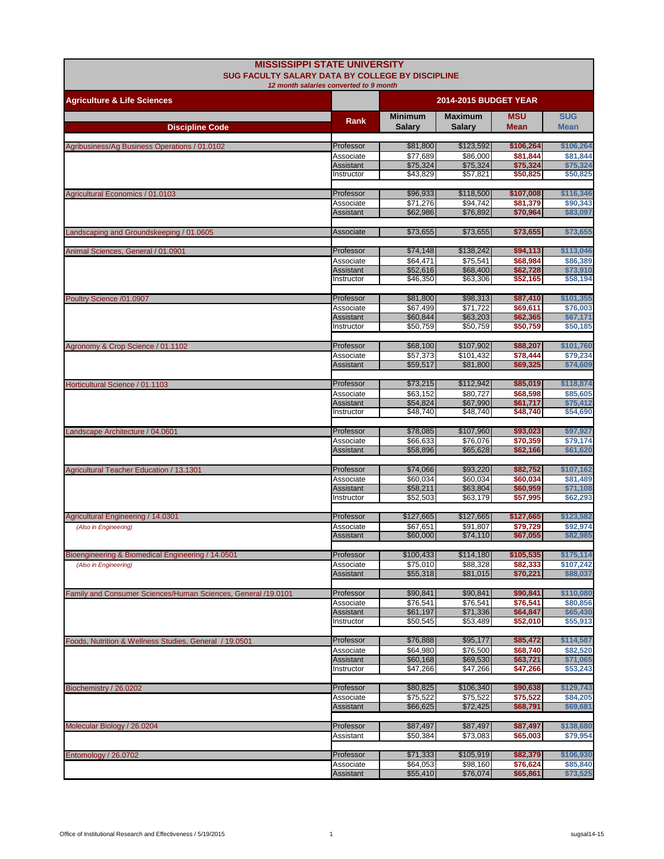| <b>MISSISSIPPI STATE UNIVERSITY</b><br><b>SUG FACULTY SALARY DATA BY COLLEGE BY DISCIPLINE</b><br>12 month salaries converted to 9 month |                               |                                 |                          |                           |                           |
|------------------------------------------------------------------------------------------------------------------------------------------|-------------------------------|---------------------------------|--------------------------|---------------------------|---------------------------|
| <b>Agriculture &amp; Life Sciences</b>                                                                                                   |                               | <b>2014-2015 BUDGET YEAR</b>    |                          |                           |                           |
| <b>Discipline Code</b>                                                                                                                   | <b>Rank</b>                   | <b>Minimum</b><br><b>Salary</b> | <b>Maximum</b><br>Salary | <b>MSU</b><br><b>Mean</b> | <b>SUG</b><br><b>Mean</b> |
|                                                                                                                                          |                               |                                 |                          |                           |                           |
| Agribusiness/Ag Business Operations / 01.0102                                                                                            | Professor<br>Associate        | \$81,800<br>\$77,689            | \$123,592<br>\$86,000    | \$106,264<br>\$81,844     | \$106,264<br>\$81,844     |
|                                                                                                                                          | Assistant                     | \$75,324                        | \$75,324                 | \$75,324                  | \$75,324                  |
|                                                                                                                                          | Instructor                    | \$43,829                        | \$57.821                 | \$50,825                  | \$50,825                  |
| Agricultural Economics / 01.0103                                                                                                         | Professor                     | \$96,933                        | \$118,500                | \$107,008                 | \$116,346                 |
|                                                                                                                                          | Associate                     | \$71,276                        | \$94,742                 | \$81,379                  | \$90,343                  |
|                                                                                                                                          | Assistant                     | \$62,986                        | \$76,892                 | \$70,964                  | \$83,097                  |
| Landscaping and Groundskeeping / 01.0605                                                                                                 | Associate                     | \$73,655                        | \$73,655                 | \$73,655                  | \$73,655                  |
|                                                                                                                                          | Professor                     | \$74,148                        | \$138,242                | \$94,113                  | \$113,046                 |
| Animal Sciences, General / 01.0901                                                                                                       | Associate                     | \$64,471                        | \$75,541                 | \$68,984                  | \$86,389                  |
|                                                                                                                                          | Assistant                     | \$52,616                        | \$68,400                 | \$62,728                  | \$73,910                  |
|                                                                                                                                          | Instructor                    | \$46,350                        | \$63,306                 | \$52,165                  | \$58,194                  |
| Poultry Science /01.0907                                                                                                                 | Professor                     | \$81,800                        | \$98,313                 | \$87,410                  | \$101,355                 |
|                                                                                                                                          | Associate                     | \$67,499                        | \$71.722                 | \$69,611                  | \$76,003                  |
|                                                                                                                                          | Assistant<br>Instructor       | \$60,844<br>\$50,759            | \$63,203<br>\$50,759     | \$62,365<br>\$50,759      | \$67,171<br>\$50,185      |
|                                                                                                                                          |                               |                                 |                          |                           |                           |
| Agronomy & Crop Science / 01.1102                                                                                                        | Professor                     | \$68,100                        | \$107,902                | \$88,207                  | \$101,760                 |
|                                                                                                                                          | Associate<br>Assistant        | \$57,373<br>\$59,517            | \$101,432<br>\$81,800    | \$78,444<br>\$69,325      | \$79,234<br>\$74,609      |
|                                                                                                                                          |                               |                                 |                          |                           |                           |
| Horticultural Science / 01.1103                                                                                                          | Professor<br>Associate        | \$73,215<br>\$63,152            | \$112,942<br>\$80,727    | \$85,019<br>\$68,598      | \$118,874<br>\$85,605     |
|                                                                                                                                          | Assistant                     | \$54,824                        | \$67,990                 | \$61,717                  | \$75,412                  |
|                                                                                                                                          | Instructor                    | \$48,740                        | \$48,740                 | \$48,740                  | \$54,690                  |
| Landscape Architecture / 04.0601                                                                                                         | Professor                     | \$78,085                        | \$107,960                | \$93,023                  | \$97,927                  |
|                                                                                                                                          | Associate                     | \$66,633                        | \$76,076                 | \$70,359                  | \$79,174                  |
|                                                                                                                                          | Assistant                     | \$58,896                        | \$65,628                 | \$62,166                  | \$61,620                  |
| Agricultural Teacher Education / 13.1301                                                                                                 | Professor                     | \$74,066                        | \$93,220                 | \$82,752                  | \$107,162                 |
|                                                                                                                                          | Associate                     | \$60,034                        | \$60,034                 | \$60,034                  | \$81,489                  |
|                                                                                                                                          | Assistant<br>Instructor       | \$58,211<br>\$52,503            | \$63,804<br>\$63,179     | \$60,959<br>\$57,995      | \$71,108<br>\$62,293      |
|                                                                                                                                          |                               |                                 |                          |                           |                           |
| Agricultural Engineering / 14.0301                                                                                                       | Professor                     | \$127,665                       | \$127,665                | \$127,665                 | \$123,582                 |
| (Also in Engineering)                                                                                                                    | Associate<br>Assistant        | \$67,651<br>\$60,000            | \$91,807<br>\$74,110     | \$79,729<br>\$67,055      | \$92,974<br>\$82,985      |
|                                                                                                                                          |                               |                                 |                          |                           |                           |
| Bioengineering & Biomedical Engineering / 14.0501                                                                                        | Professor                     | \$100,433<br>\$75,010           | \$114,180<br>\$88,328    | \$105,535                 | \$175,114                 |
| (Also in Engineering)                                                                                                                    | Associate<br><b>Assistant</b> | \$55,318                        | \$81,015                 | \$82,333<br>\$70,221      | \$107,242<br>\$88,037     |
|                                                                                                                                          |                               |                                 |                          |                           |                           |
| Family and Consumer Sciences/Human Sciences, General /19.0101                                                                            | Professor<br>Associate        | \$90,841<br>\$76,541            | \$90,841<br>\$76,541     | \$90,841<br>\$76,541      | \$110,080<br>\$80,856     |
|                                                                                                                                          | Assistant                     | \$61,197                        | \$71,336                 | \$64,847                  | \$65,430                  |
|                                                                                                                                          | Instructor                    | \$50,545                        | \$53,489                 | \$52,010                  | \$55,913                  |
| Foods, Nutrition & Wellness Studies, General / 19.0501                                                                                   | Professor                     | \$76,888                        | \$95,177                 | \$85,472                  | \$114,587                 |
|                                                                                                                                          | Associate                     | \$64,980                        | \$76,500                 | \$68,740                  | \$82,520                  |
|                                                                                                                                          | Assistant<br>Instructor       | \$60,168<br>\$47,266            | \$69,530                 | \$63,721                  | \$71,065<br>\$53,243      |
|                                                                                                                                          |                               |                                 | \$47,266                 | \$47,266                  |                           |
| Biochemistry / 26.0202                                                                                                                   | Professor                     | \$80,825                        | \$106,340                | \$90,638                  | \$129,743                 |
|                                                                                                                                          | Associate<br>Assistant        | \$75,522<br>\$66,625            | \$75,522<br>\$72,425     | \$75,522<br>\$68,791      | \$84,205<br>\$69,681      |
|                                                                                                                                          |                               |                                 |                          |                           |                           |
| Molecular Biology / 26.0204                                                                                                              | Professor                     | \$87,497                        | \$87,497                 | \$87,497                  | \$138,680                 |
|                                                                                                                                          | Assistant                     | \$50,384                        | \$73,083                 | \$65,003                  | \$79,954                  |
| Entomology / 26.0702                                                                                                                     | Professor                     | \$71,333                        | \$105,919                | \$82,379                  | \$106,930                 |
|                                                                                                                                          | Associate                     | \$64,053                        | \$98,160                 | \$76,624                  | \$85,840                  |
|                                                                                                                                          | Assistant                     | \$55,410                        | \$76,074                 | \$65,861                  | \$73,525                  |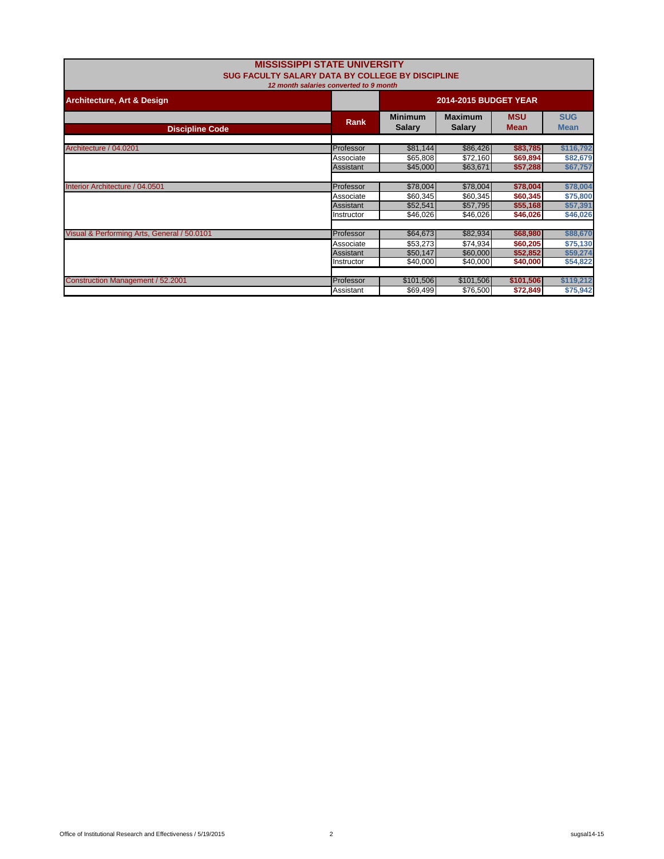| <b>MISSISSIPPI STATE UNIVERSITY</b><br>SUG FACULTY SALARY DATA BY COLLEGE BY DISCIPLINE<br>12 month salaries converted to 9 month |            |                                 |                                 |                           |                           |  |
|-----------------------------------------------------------------------------------------------------------------------------------|------------|---------------------------------|---------------------------------|---------------------------|---------------------------|--|
| <b>Architecture, Art &amp; Design</b>                                                                                             |            | <b>2014-2015 BUDGET YEAR</b>    |                                 |                           |                           |  |
| <b>Discipline Code</b>                                                                                                            | Rank       | <b>Minimum</b><br><b>Salary</b> | <b>Maximum</b><br><b>Salary</b> | <b>MSU</b><br><b>Mean</b> | <b>SUG</b><br><b>Mean</b> |  |
| Architecture / 04.0201                                                                                                            | Professor  | \$81,144                        | \$86,426                        | \$83,785                  | \$116,792                 |  |
|                                                                                                                                   | Associate  | \$65,808                        | \$72,160                        | \$69,894                  | \$82,679                  |  |
|                                                                                                                                   | Assistant  | \$45,000                        | \$63,671                        | \$57,288                  | \$67,757                  |  |
|                                                                                                                                   |            |                                 |                                 |                           |                           |  |
| Interior Architecture / 04.0501                                                                                                   | Professor  | \$78,004                        | \$78,004                        | \$78,004                  | \$78,004                  |  |
|                                                                                                                                   | Associate  | \$60,345                        | \$60,345                        | \$60,345                  | \$75,800                  |  |
|                                                                                                                                   | Assistant  | \$52,541                        | \$57,795                        | \$55,168                  | \$57,391                  |  |
|                                                                                                                                   | Instructor | \$46,026                        | \$46,026                        | \$46,026                  | \$46,026                  |  |
| Visual & Performing Arts, General / 50.0101                                                                                       | Professor  | \$64,673                        | \$82,934                        | \$68,980                  | \$88,670                  |  |
|                                                                                                                                   | Associate  |                                 |                                 |                           |                           |  |
|                                                                                                                                   | Assistant  | \$53,273                        | \$74,934<br>\$60,000            | \$60,205                  | \$75,130                  |  |
|                                                                                                                                   | Instructor | \$50,147<br>\$40,000            | \$40,000                        | \$52,852                  | \$59,274                  |  |
|                                                                                                                                   |            |                                 |                                 | \$40,000                  | \$54,822                  |  |
| Construction Management / 52.2001                                                                                                 | Professor  | \$101,506                       | \$101,506                       | \$101,506                 | \$119,212                 |  |
|                                                                                                                                   | Assistant  | \$69,499                        | \$76,500                        | \$72,849                  | \$75,942                  |  |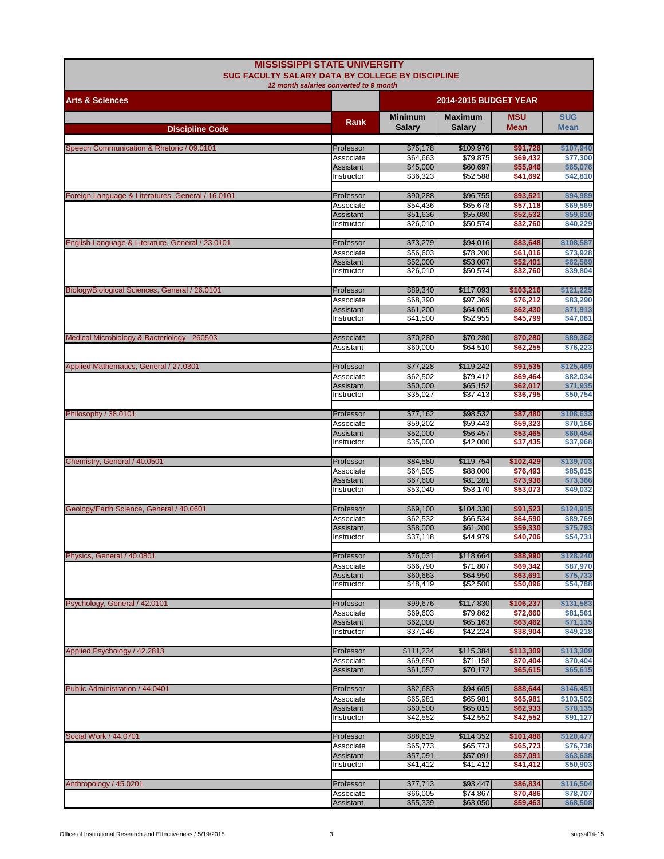| <b>MISSISSIPPI STATE UNIVERSITY</b><br>SUG FACULTY SALARY DATA BY COLLEGE BY DISCIPLINE |                         |                              |                       |                       |                       |
|-----------------------------------------------------------------------------------------|-------------------------|------------------------------|-----------------------|-----------------------|-----------------------|
| 12 month salaries converted to 9 month                                                  |                         |                              |                       |                       |                       |
| <b>Arts &amp; Sciences</b>                                                              |                         | <b>2014-2015 BUDGET YEAR</b> |                       |                       |                       |
|                                                                                         | <b>Rank</b>             | <b>Minimum</b>               | <b>Maximum</b>        | <b>MSU</b>            | <b>SUG</b>            |
| <b>Discipline Code</b>                                                                  |                         | Salary                       | Salary                | <b>Mean</b>           | <b>Mean</b>           |
| Speech Communication & Rhetoric / 09.0101                                               | Professor               | \$75,178                     | \$109,976             | \$91,728              | \$107,940             |
|                                                                                         | Associate               | \$64,663                     | \$79,875              | \$69,432              | \$77,300              |
|                                                                                         | Assistant<br>Instructor | \$45,000<br>\$36,323         | \$60,697<br>\$52,588  | \$55,946<br>\$41,692  | \$65,076<br>\$42,810  |
|                                                                                         |                         |                              |                       |                       |                       |
| Foreign Language & Literatures, General / 16.0101                                       | Professor               | \$90,288                     | \$96,755              | \$93,521              | \$94,989              |
|                                                                                         | Associate               | \$54,436                     | \$65,678              | \$57,118              | \$69,569              |
|                                                                                         | Assistant<br>Instructor | \$51,636<br>\$26,010         | \$55,080<br>\$50,574  | \$52,532<br>\$32,760  | \$59,810<br>\$40,229  |
|                                                                                         |                         |                              |                       |                       |                       |
| English Language & Literature, General / 23.0101                                        | Professor               | \$73,279                     | \$94,016<br>\$78,200  | \$83,648<br>\$61,016  | \$108,587             |
|                                                                                         | Associate<br>Assistant  | \$56,603<br>\$52,000         | \$53,007              | \$52,401              | \$73,928<br>\$62,569  |
|                                                                                         | Instructor              | \$26,010                     | \$50,574              | \$32,760              | \$39,804              |
| Biology/Biological Sciences, General / 26.0101                                          | Professor               | \$89,340                     | \$117,093             | \$103,216             | \$121,225             |
|                                                                                         | Associate               | \$68,390                     | \$97,369              | \$76,212              | \$83,290              |
|                                                                                         | Assistant               | \$61,200                     | \$64,005              | \$62,430              | \$71,913              |
|                                                                                         | Instructor              | \$41,500                     | \$52,955              | \$45,799              | \$47,081              |
| Medical Microbiology & Bacteriology - 260503                                            | Associate               | \$70,280                     | \$70,280              | \$70,280              | \$89,362              |
|                                                                                         | Assistant               | \$60,000                     | \$64,510              | \$62,255              | \$76,223              |
| Applied Mathematics, General / 27.0301                                                  | Professor               | \$77,228                     | \$119,242             | \$91,535              | \$125.469             |
|                                                                                         | Associate               | \$62,502                     | \$79,412              | \$69,464              | \$82,034              |
|                                                                                         | <b>Assistant</b>        | \$50,000                     | \$65,152              | \$62,017              | \$71,935              |
|                                                                                         | Instructor              | \$35,027                     | \$37,413              | \$36,795              | \$50,754              |
| Philosophy / 38.0101                                                                    | Professor               | \$77,162                     | \$98,532              | \$87,480              | \$108,633             |
|                                                                                         | Associate               | \$59,202                     | \$59.443              | \$59,323              | \$70,166              |
|                                                                                         | Assistant<br>Instructor | \$52,000<br>\$35,000         | \$56,457<br>\$42,000  | \$53,465<br>\$37,435  | \$60,454<br>\$37,968  |
|                                                                                         |                         |                              |                       |                       |                       |
| Chemistry, General / 40.0501                                                            | Professor               | \$84,580                     | \$119,754             | \$102,429             | \$139,703             |
|                                                                                         | Associate               | \$64,505                     | \$88,000              | \$76,493              | \$85,615              |
|                                                                                         | Assistant<br>Instructor | \$67,600<br>\$53,040         | \$81,281<br>\$53,170  | \$73,936<br>\$53,073  | \$73,366<br>\$49,032  |
|                                                                                         |                         |                              |                       |                       |                       |
| Geology/Earth Science, General / 40.0601                                                | Professor<br>Associate  | \$69,100<br>\$62,532         | \$104,330<br>\$66,534 | \$91,523<br>\$64,590  | \$124,915<br>\$89,769 |
|                                                                                         | Assistant               | \$58,000                     | \$61,200              | \$59,330              | \$75,793              |
|                                                                                         | Instructor              | \$37,118                     | \$44,979              | \$40,706              | \$54,731              |
| Physics, General / 40.0801                                                              | Professor               | \$76,031                     | \$118,664             | \$88,990              | \$128,240             |
|                                                                                         | Associate               | \$66,790                     | \$71,807              | \$69,342              | \$87,970              |
|                                                                                         | Assistant               | \$60,663                     | \$64,950              | \$63,691              | \$75,733              |
|                                                                                         | Instructor              | \$48,419                     | \$52,500              | \$50,096              | \$54,788              |
| Psychology, General / 42.0101                                                           | Professor               | \$99,676                     | \$117,830             | \$106,237             | \$131,583             |
|                                                                                         | Associate               | \$69,603                     | \$79,862              | \$72,660              | \$81.561              |
|                                                                                         | Assistant<br>Instructor | \$62,000<br>\$37,146         | \$65,163<br>\$42,224  | \$63,462<br>\$38,904  | \$71,135<br>\$49,218  |
|                                                                                         |                         |                              |                       |                       |                       |
| Applied Psychology / 42.2813                                                            | Professor               | \$111,234                    | \$115,384             | \$113,309             | \$113,309             |
|                                                                                         | Associate<br>Assistant  | \$69,650<br>\$61,057         | \$71,158<br>\$70,172  | \$70,404<br>\$65,615  | \$70,404<br>\$65,615  |
|                                                                                         |                         |                              |                       |                       |                       |
| Public Administration / 44.0401                                                         | Professor               | \$82,683                     | \$94,605              | \$88,644              | \$146,451             |
|                                                                                         | Associate<br>Assistant  | \$65,981<br>\$60,500         | \$65,981<br>\$65,015  | \$65,981<br>\$62,933  | \$103,502<br>\$78,135 |
|                                                                                         | Instructor              | \$42,552                     | \$42,552              | \$42,552              | \$91,127              |
|                                                                                         |                         |                              |                       |                       |                       |
| Social Work / 44.0701                                                                   | Professor<br>Associate  | \$88,619<br>\$65,773         | \$114,352<br>\$65,773 | \$101,486<br>\$65,773 | \$120,477<br>\$76,738 |
|                                                                                         | Assistant               | \$57,091                     | \$57,091              | \$57,091              | \$63,638              |
|                                                                                         | Instructor              | \$41,412                     | \$41,412              | \$41,412              | \$50,903              |
| Anthropology / 45.0201                                                                  | Professor               | \$77,713                     | \$93,447              | \$86,834              | \$116,504             |
|                                                                                         | Associate               | \$66,005                     | \$74,867              | \$70,486              | \$78,707              |
|                                                                                         | Assistant               | \$55,339                     | \$63,050              | \$59,463              | \$68,508              |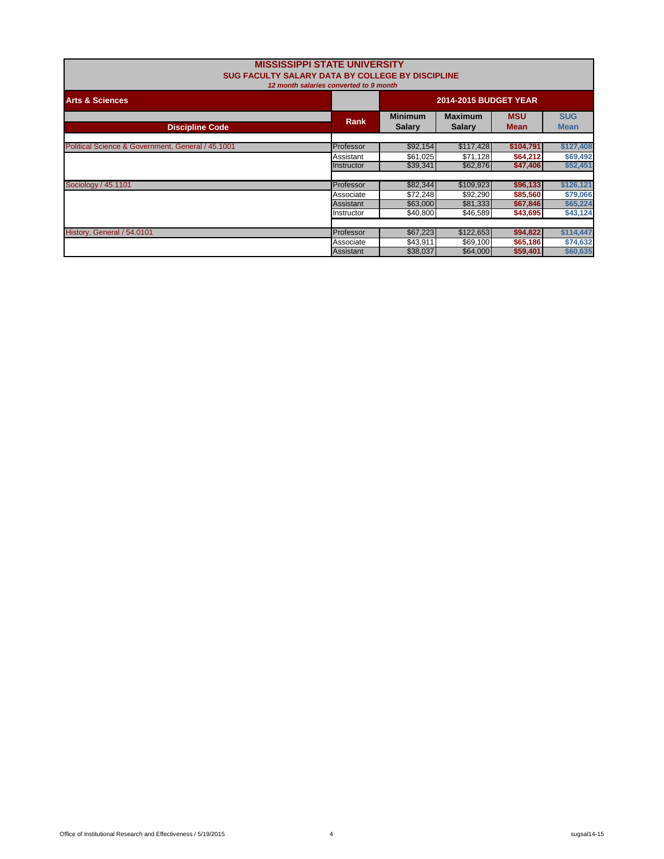| <b>MISSISSIPPI STATE UNIVERSITY</b><br>SUG FACULTY SALARY DATA BY COLLEGE BY DISCIPLINE<br>12 month salaries converted to 9 month |                                |                                 |                                 |                           |                           |  |
|-----------------------------------------------------------------------------------------------------------------------------------|--------------------------------|---------------------------------|---------------------------------|---------------------------|---------------------------|--|
| <b>Arts &amp; Sciences</b>                                                                                                        |                                | <b>2014-2015 BUDGET YEAR</b>    |                                 |                           |                           |  |
| <b>Discipline Code</b>                                                                                                            | Rank                           | <b>Minimum</b><br><b>Salary</b> | <b>Maximum</b><br><b>Salarv</b> | <b>MSU</b><br><b>Mean</b> | <b>SUG</b><br><b>Mean</b> |  |
| Political Science & Government, General / 45.1001                                                                                 | Professor                      | \$92,154                        | \$117,428                       | \$104,791                 | \$127,408                 |  |
|                                                                                                                                   | Assistant<br>Instructor        | \$61,025<br>\$39,341            | \$71,128<br>\$62,876            | \$64,212<br>\$47,406      | \$69,492<br>\$52,451      |  |
| Sociology / 45.1101                                                                                                               | Professor                      | \$82,344                        | \$109,923                       | \$96,133                  | \$126,121                 |  |
|                                                                                                                                   | Associate                      | \$72,248                        | \$92,290                        | \$85,560                  | \$79,066                  |  |
|                                                                                                                                   | <b>Assistant</b><br>Instructor | \$63,000<br>\$40,800            | \$81,333<br>\$46,589            | \$67,846<br>\$43,695      | \$65,224<br>\$43,124      |  |
| History, General / 54.0101                                                                                                        | Professor                      | \$67,223                        | \$122,653                       | \$94,822                  | \$114,447                 |  |
|                                                                                                                                   | Associate<br>Assistant         | \$43,911<br>\$38,037            | \$69,100<br>\$64,000            | \$65,186<br>\$59,401      | \$74,632<br>\$60,635      |  |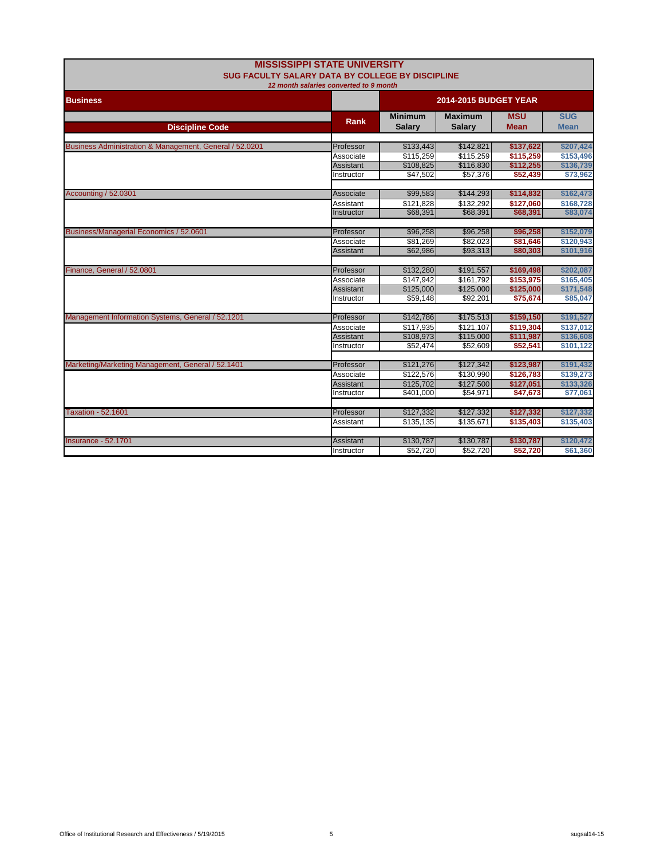| <b>MISSISSIPPI STATE UNIVERSITY</b>                                                        |                        |                              |                |             |             |  |  |
|--------------------------------------------------------------------------------------------|------------------------|------------------------------|----------------|-------------|-------------|--|--|
| SUG FACULTY SALARY DATA BY COLLEGE BY DISCIPLINE<br>12 month salaries converted to 9 month |                        |                              |                |             |             |  |  |
| <b>Business</b>                                                                            |                        | <b>2014-2015 BUDGET YEAR</b> |                |             |             |  |  |
|                                                                                            |                        | <b>Minimum</b>               | <b>Maximum</b> | <b>MSU</b>  | <b>SUG</b>  |  |  |
| <b>Discipline Code</b>                                                                     | <b>Rank</b>            | <b>Salary</b>                | <b>Salary</b>  | <b>Mean</b> | <b>Mean</b> |  |  |
| Business Administration & Management, General / 52.0201                                    | Professor              | \$133,443                    | \$142,821      | \$137,622   | \$207,424   |  |  |
|                                                                                            |                        | \$115.259                    | \$115.259      | \$115,259   | \$153,496   |  |  |
|                                                                                            | Associate<br>Assistant | \$108,825                    | \$116,830      | \$112,255   | \$136,739   |  |  |
|                                                                                            | Instructor             | \$47,502                     | \$57,376       | \$52,439    | \$73,962    |  |  |
|                                                                                            |                        |                              |                |             |             |  |  |
| Accounting / 52.0301                                                                       | Associate              | \$99,583                     | \$144,293      | \$114,832   | \$162,473   |  |  |
|                                                                                            | Assistant              | \$121.828                    | \$132.292      | \$127,060   | \$168,728   |  |  |
|                                                                                            | Instructor             | \$68,391                     | \$68,391       | \$68,391    | \$83,074    |  |  |
|                                                                                            |                        |                              |                |             |             |  |  |
| Business/Managerial Economics / 52.0601                                                    | Professor              | \$96,258                     | \$96,258       | \$96,258    | \$152,079   |  |  |
|                                                                                            | Associate              | \$81,269                     | \$82,023       | \$81,646    | \$120,943   |  |  |
|                                                                                            | Assistant              | \$62,986                     | \$93,313       | \$80,303    | \$101,916   |  |  |
|                                                                                            |                        |                              |                |             |             |  |  |
| Finance, General / 52.0801                                                                 | Professor              | \$132,280                    | \$191,557      | \$169,498   | \$202,087   |  |  |
|                                                                                            | Associate              | \$147,942                    | \$161.792      | \$153,975   | \$165,405   |  |  |
|                                                                                            | <b>Assistant</b>       | \$125.000                    | \$125.000      | \$125,000   | \$171.548   |  |  |
|                                                                                            | Instructor             | \$59,148                     | \$92,201       | \$75,674    | \$85,047    |  |  |
|                                                                                            |                        |                              |                |             |             |  |  |
| Management Information Systems, General / 52.1201                                          | Professor              | \$142,786                    | \$175,513      | \$159,150   | \$191,527   |  |  |
|                                                                                            | Associate              | \$117.935                    | \$121.107      | \$119,304   | \$137.012   |  |  |
|                                                                                            | Assistant              | \$108,973                    | \$115,000      | \$111,987   | \$136,608   |  |  |
|                                                                                            | Instructor             | \$52.474                     | \$52,609       | \$52,541    | \$101,122   |  |  |
|                                                                                            |                        |                              |                |             |             |  |  |
| Marketing/Marketing Management, General / 52.1401                                          | Professor              | \$121,276                    | \$127,342      | \$123,987   | \$191,432   |  |  |
|                                                                                            | Associate              | \$122,576                    | \$130,990      | \$126,783   | \$139,273   |  |  |
|                                                                                            | Assistant              | \$125,702                    | \$127,500      | \$127,051   | \$133,326   |  |  |
|                                                                                            | Instructor             | \$401,000                    | \$54,971       | \$47,673    | \$77,061    |  |  |
|                                                                                            |                        |                              |                |             |             |  |  |
| <b>Taxation - 52.1601</b>                                                                  | Professor              | \$127,332                    | \$127,332      | \$127,332   | \$127,332   |  |  |
|                                                                                            | Assistant              | \$135,135                    | \$135,671      | \$135,403   | \$135,403   |  |  |
|                                                                                            |                        |                              |                |             |             |  |  |
| <b>Insurance - 52.1701</b>                                                                 | Assistant              | \$130,787                    | \$130,787      | \$130,787   | \$120,472   |  |  |
|                                                                                            | Instructor             | \$52,720                     | \$52,720       | \$52,720    | \$61,360    |  |  |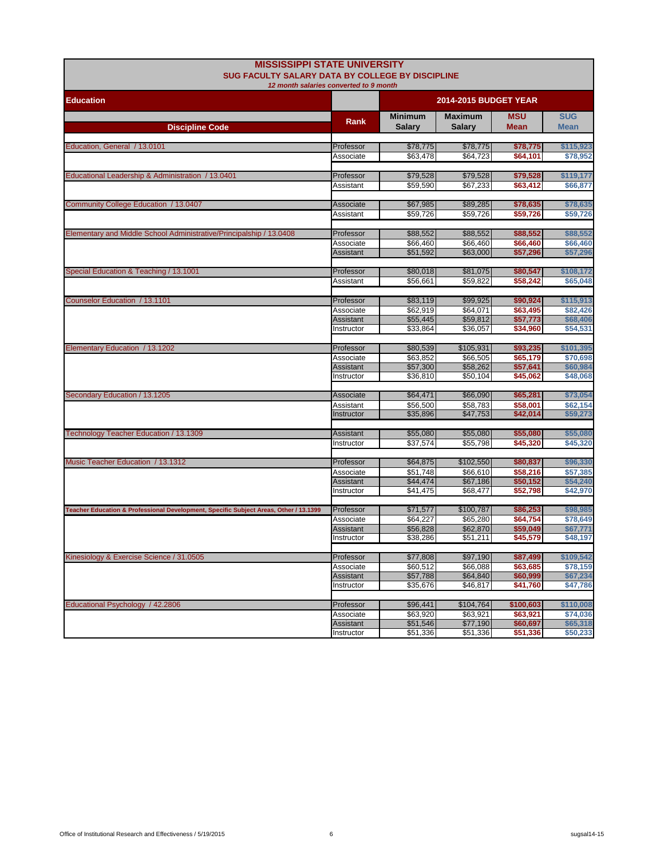| <b>MISSISSIPPI STATE UNIVERSITY</b><br><b>SUG FACULTY SALARY DATA BY COLLEGE BY DISCIPLINE</b> |                         |                              |                          |                           |                           |  |
|------------------------------------------------------------------------------------------------|-------------------------|------------------------------|--------------------------|---------------------------|---------------------------|--|
| 12 month salaries converted to 9 month<br><b>Education</b>                                     |                         | <b>2014-2015 BUDGET YEAR</b> |                          |                           |                           |  |
| <b>Discipline Code</b>                                                                         | Rank                    | <b>Minimum</b><br>Salary     | <b>Maximum</b><br>Salary | <b>MSU</b><br><b>Mean</b> | <b>SUG</b><br><b>Mean</b> |  |
|                                                                                                |                         |                              |                          |                           |                           |  |
| Education, General / 13.0101                                                                   | Professor               | \$78,775                     | \$78,775                 | \$78,775                  | \$115,923                 |  |
|                                                                                                | Associate               | \$63,478                     | \$64,723                 | \$64,101                  | \$78,952                  |  |
|                                                                                                |                         |                              |                          |                           |                           |  |
| Educational Leadership & Administration / 13.0401                                              | Professor<br>Assistant  | \$79,528<br>\$59.590         | \$79,528<br>\$67,233     | \$79,528<br>\$63,412      | \$119,177<br>\$66,877     |  |
|                                                                                                |                         |                              |                          |                           |                           |  |
| Community College Education / 13.0407                                                          | Associate               | \$67,985                     | \$89,285                 | \$78,635                  | \$78,635                  |  |
|                                                                                                | Assistant               | \$59,726                     | \$59,726                 | \$59.726                  | \$59,726                  |  |
|                                                                                                |                         |                              |                          |                           |                           |  |
| Elementary and Middle School Administrative/Principalship / 13.0408                            | Professor               | \$88,552                     | \$88,552                 | \$88,552                  | \$88,552                  |  |
|                                                                                                | Associate               | \$66,460                     | \$66,460                 | \$66,460                  | \$66,460                  |  |
|                                                                                                | Assistant               | \$51,592                     | \$63,000                 | \$57,296                  | \$57,296                  |  |
| Special Education & Teaching / 13.1001                                                         | Professor               | \$80,018                     | \$81,075                 | \$80,547                  | \$108,172                 |  |
|                                                                                                | Assistant               | \$56,661                     | \$59,822                 | \$58,242                  | \$65,048                  |  |
|                                                                                                |                         |                              |                          |                           |                           |  |
| Counselor Education / 13.1101                                                                  | Professor               | \$83,119                     | \$99,925                 | \$90,924                  | \$115,913                 |  |
|                                                                                                | Associate               | \$62,919                     | \$64.071                 | \$63,495                  | \$82.426                  |  |
|                                                                                                | Assistant               | \$55,445                     | \$59,812                 | \$57,773                  | \$68,406                  |  |
|                                                                                                | Instructor              | \$33,864                     | \$36,057                 | \$34,960                  | \$54,531                  |  |
|                                                                                                |                         |                              |                          |                           |                           |  |
| Elementary Education / 13.1202                                                                 | Professor<br>Associate  | \$80,539<br>\$63,852         | \$105,931<br>\$66,505    | \$93.235<br>\$65.179      | \$101,395<br>\$70,698     |  |
|                                                                                                | Assistant               | \$57,300                     | \$58,262                 | \$57.641                  | \$60,984                  |  |
|                                                                                                | Instructor              | \$36,810                     | \$50,104                 | \$45,062                  | \$48,068                  |  |
|                                                                                                |                         |                              |                          |                           |                           |  |
| Secondary Education / 13.1205                                                                  | Associate               | \$64,471                     | \$66,090                 | \$65,281                  | \$73,054                  |  |
|                                                                                                | Assistant               | \$56,500                     | \$58,783                 | \$58,001                  | \$62,154                  |  |
|                                                                                                | Instructor              | \$35,896                     | \$47,753                 | \$42,014                  | \$59,273                  |  |
|                                                                                                |                         |                              |                          |                           |                           |  |
| Technology Teacher Education / 13.1309                                                         | Assistant<br>Instructor | \$55,080<br>\$37,574         | \$55,080<br>\$55,798     | \$55,080<br>\$45,320      | \$55,080<br>\$45,320      |  |
|                                                                                                |                         |                              |                          |                           |                           |  |
| Music Teacher Education / 13.1312                                                              | Professor               | \$64,875                     | \$102,550                | \$80,837                  | \$96,330                  |  |
|                                                                                                | Associate               | \$51,748                     | \$66,610                 | \$58,216                  | \$57,385                  |  |
|                                                                                                | Assistant               | \$44,474                     | \$67,186                 | \$50,152                  | \$54,240                  |  |
|                                                                                                | Instructor              | \$41,475                     | \$68,477                 | \$52,798                  | \$42,970                  |  |
|                                                                                                |                         |                              |                          |                           |                           |  |
| Teacher Education & Professional Development, Specific Subject Areas, Other / 13.1399          | Professor               | \$71,577                     | \$100,787                | \$86,253                  | \$98,985                  |  |
|                                                                                                | Associate<br>Assistant  | \$64,227<br>\$56,828         | \$65,280<br>\$62,870     | \$64,754<br>\$59,049      | \$78,649<br>\$67,771      |  |
|                                                                                                | Instructor              | \$38,286                     | \$51,211                 | \$45,579                  | \$48,197                  |  |
|                                                                                                |                         |                              |                          |                           |                           |  |
| Kinesiology & Exercise Science / 31.0505                                                       | Professor               | \$77,808                     | \$97,190                 | \$87,499                  | \$109,542                 |  |
|                                                                                                | Associate               | \$60,512                     | \$66.088                 | \$63.685                  | \$78,159                  |  |
|                                                                                                | Assistant               | \$57,788                     | \$64,840                 | \$60,999                  | \$67,234                  |  |
|                                                                                                | Instructor              | \$35,676                     | \$46,817                 | \$41,760                  | \$47,786                  |  |
|                                                                                                |                         |                              |                          |                           | \$110,008                 |  |
| Educational Psychology / 42.2806                                                               | Professor<br>Associate  | \$96,441<br>\$63,920         | \$104,764<br>\$63,921    | \$100,603<br>\$63,921     | \$74,036                  |  |
|                                                                                                | Assistant               | \$51,546                     | \$77,190                 | \$60,697                  | \$65,318                  |  |
|                                                                                                | Instructor              | \$51,336                     | \$51,336                 | \$51,336                  | \$50,233                  |  |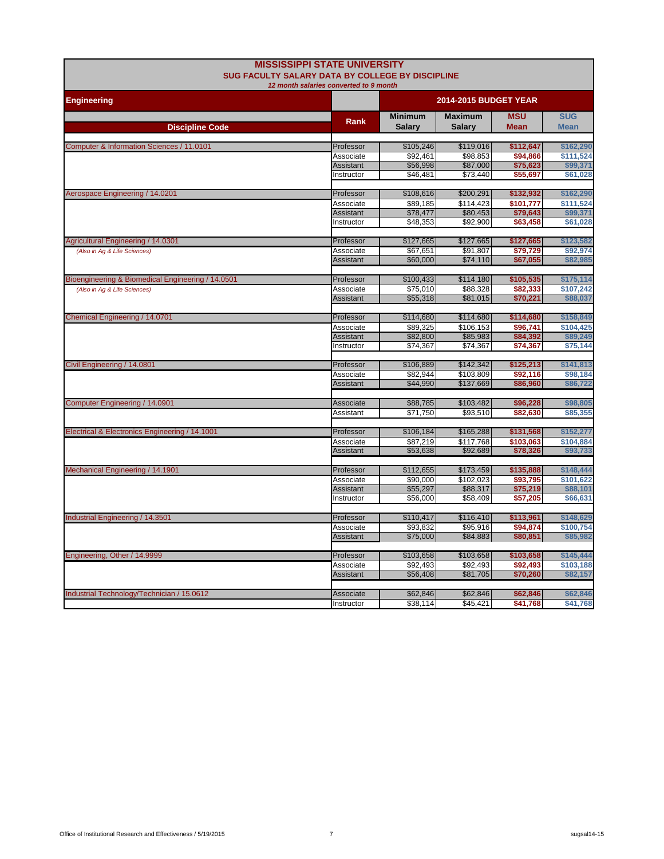|                                                   | <b>MISSISSIPPI STATE UNIVERSITY</b><br><b>SUG FACULTY SALARY DATA BY COLLEGE BY DISCIPLINE</b> |                          |                          |                           |                           |  |  |
|---------------------------------------------------|------------------------------------------------------------------------------------------------|--------------------------|--------------------------|---------------------------|---------------------------|--|--|
|                                                   | 12 month salaries converted to 9 month                                                         |                          |                          |                           |                           |  |  |
| <b>Engineering</b>                                |                                                                                                |                          | 2014-2015 BUDGET YEAR    |                           |                           |  |  |
| <b>Discipline Code</b>                            | <b>Rank</b>                                                                                    | <b>Minimum</b><br>Salary | <b>Maximum</b><br>Salary | <b>MSU</b><br><b>Mean</b> | <b>SUG</b><br><b>Mean</b> |  |  |
|                                                   |                                                                                                |                          |                          |                           |                           |  |  |
| Computer & Information Sciences / 11.0101         | Professor                                                                                      | \$105,246                | \$119,016                | \$112,647                 | \$162,290                 |  |  |
|                                                   | Associate<br>Assistant                                                                         | \$92.461<br>\$56,998     | \$98,853<br>\$87,000     | \$94.866<br>\$75,623      | \$111,524<br>\$99,371     |  |  |
|                                                   | Instructor                                                                                     | \$46,481                 | \$73,440                 | \$55,697                  | \$61,028                  |  |  |
|                                                   |                                                                                                |                          |                          |                           |                           |  |  |
| Aerospace Engineering / 14.0201                   | Professor                                                                                      | \$108,616                | \$200,291                | \$132,932                 | \$162,290                 |  |  |
|                                                   | Associate                                                                                      | \$89.185                 | \$114.423                | \$101.777                 | \$111.524                 |  |  |
|                                                   | <b>Assistant</b>                                                                               | \$78,477                 | \$80,453                 | \$79,643                  | \$99,371                  |  |  |
|                                                   | Instructor                                                                                     | \$48,353                 | \$92,900                 | \$63,458                  | \$61,028                  |  |  |
|                                                   |                                                                                                |                          |                          |                           |                           |  |  |
| Agricultural Engineering / 14.0301                | Professor                                                                                      | \$127,665                | \$127,665                | \$127,665                 | \$123,582                 |  |  |
| (Also in Ag & Life Sciences)                      | Associate                                                                                      | \$67,651                 | \$91,807                 | \$79,729                  | \$92,974                  |  |  |
|                                                   | Assistant                                                                                      | \$60,000                 | \$74,110                 | \$67,055                  | \$82,985                  |  |  |
|                                                   | Professor                                                                                      | \$100,433                | \$114,180                | \$105,535                 | \$175,114                 |  |  |
| Bioengineering & Biomedical Engineering / 14.0501 |                                                                                                | \$75,010                 | \$88,328                 | \$82,333                  | \$107,242                 |  |  |
| (Also in Aq & Life Sciences)                      | Associate<br><b>Assistant</b>                                                                  | \$55,318                 | \$81,015                 | \$70,221                  | \$88,037                  |  |  |
|                                                   |                                                                                                |                          |                          |                           |                           |  |  |
| Chemical Engineering / 14.0701                    | Professor                                                                                      | \$114,680                | \$114,680                | \$114,680                 | \$158,849                 |  |  |
|                                                   | Associate                                                                                      | \$89,325                 | \$106,153                | \$96,741                  | \$104,425                 |  |  |
|                                                   | Assistant                                                                                      | \$82,800                 | \$85,983                 | \$84,392                  | \$89,249                  |  |  |
|                                                   | Instructor                                                                                     | \$74,367                 | \$74,367                 | \$74,367                  | \$75,144                  |  |  |
|                                                   |                                                                                                |                          |                          |                           |                           |  |  |
| Civil Engineering / 14.0801                       | Professor                                                                                      | \$106,889                | \$142,342                | \$125,213                 | \$141,813                 |  |  |
|                                                   | Associate                                                                                      | \$82.944                 | \$103.809                | \$92.116                  | \$98,184                  |  |  |
|                                                   | <b>Assistant</b>                                                                               | \$44,990                 | \$137,669                | \$86,960                  | \$86,722                  |  |  |
| Computer Engineering / 14.0901                    | Associate                                                                                      | \$88,785                 | \$103,482                | \$96,228                  | \$98,805                  |  |  |
|                                                   | Assistant                                                                                      | \$71,750                 | \$93,510                 | \$82,630                  | \$85,355                  |  |  |
|                                                   |                                                                                                |                          |                          |                           |                           |  |  |
| Electrical & Electronics Engineering / 14.1001    | Professor                                                                                      | \$106,184                | \$165,288                | \$131,568                 | \$152,277                 |  |  |
|                                                   | Associate                                                                                      | \$87,219                 | \$117,768                | \$103,063                 | \$104,884                 |  |  |
|                                                   | Assistant                                                                                      | \$53,638                 | \$92,689                 | \$78,326                  | \$93,733                  |  |  |
|                                                   |                                                                                                |                          |                          |                           |                           |  |  |
| Mechanical Engineering / 14.1901                  | Professor                                                                                      | \$112,655                | \$173,459                | \$135,888                 | \$148,444                 |  |  |
|                                                   | Associate                                                                                      | \$90,000                 | \$102,023                | \$93,795                  | \$101,622                 |  |  |
|                                                   | Assistant                                                                                      | \$55,297                 | \$88,317                 | \$75,219                  | \$88,101                  |  |  |
|                                                   | Instructor                                                                                     | \$56,000                 | \$58,409                 | \$57,205                  | \$66,631                  |  |  |
|                                                   |                                                                                                |                          |                          |                           |                           |  |  |
| Industrial Engineering / 14.3501                  | Professor<br>Associate                                                                         | \$110,417<br>\$93,832    | \$116,410<br>\$95,916    | \$113,961<br>\$94,874     | \$148,629<br>\$100,754    |  |  |
|                                                   | Assistant                                                                                      | \$75,000                 | \$84,883                 | \$80,851                  | \$85,982                  |  |  |
|                                                   |                                                                                                |                          |                          |                           |                           |  |  |
| Engineering, Other / 14.9999                      | Professor                                                                                      | \$103,658                | \$103,658                | \$103,658                 | \$145,444                 |  |  |
|                                                   | Associate                                                                                      | \$92,493                 | \$92,493                 | \$92,493                  | \$103,188                 |  |  |
|                                                   | <b>Assistant</b>                                                                               | \$56,408                 | \$81,705                 | \$70,260                  | \$82,157                  |  |  |
|                                                   |                                                                                                |                          |                          |                           |                           |  |  |
| Industrial Technology/Technician / 15.0612        | Associate                                                                                      | \$62,846                 | \$62,846                 | \$62,846                  | \$62,846                  |  |  |
|                                                   | Instructor                                                                                     | \$38,114                 | \$45,421                 | \$41,768                  | \$41,768                  |  |  |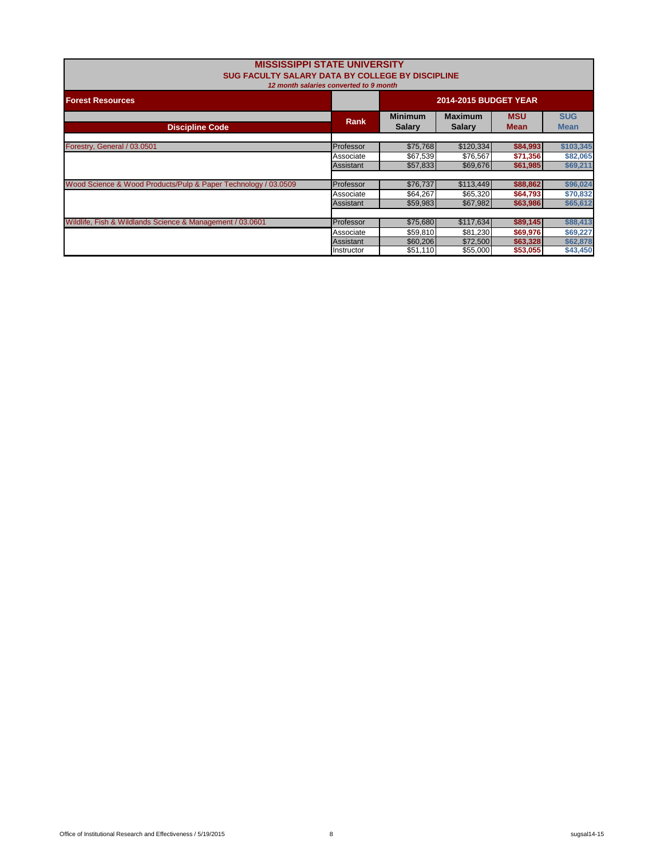| <b>MISSISSIPPI STATE UNIVERSITY</b><br>SUG FACULTY SALARY DATA BY COLLEGE BY DISCIPLINE | 12 month salaries converted to 9 month |                                  |                                  |                                  |                                  |
|-----------------------------------------------------------------------------------------|----------------------------------------|----------------------------------|----------------------------------|----------------------------------|----------------------------------|
| <b>Forest Resources</b>                                                                 |                                        | <b>2014-2015 BUDGET YEAR</b>     |                                  |                                  |                                  |
| <b>Discipline Code</b>                                                                  | <b>Rank</b>                            | <b>Minimum</b><br><b>Salary</b>  | <b>Maximum</b><br><b>Salarv</b>  | <b>MSU</b><br><b>Mean</b>        | <b>SUG</b><br><b>Mean</b>        |
| Forestry, General / 03.0501                                                             | Professor                              | \$75.768                         | \$120,334                        | \$84,993                         | \$103,345                        |
|                                                                                         | Associate<br>Assistant                 | \$67,539<br>\$57,833             | \$76,567<br>\$69,676             | \$71,356<br>\$61,985             | \$82,065<br>\$69,211             |
| Wood Science & Wood Products/Pulp & Paper Technology / 03.0509                          | Professor<br>Associate                 | \$76,737<br>\$64,267             | \$113,449<br>\$65,320            | \$88,862<br>\$64,793             | \$96,024<br>\$70,832             |
|                                                                                         | Assistant                              | \$59,983                         | \$67,982                         | \$63,986                         | \$65,612                         |
| Wildlife, Fish & Wildlands Science & Management / 03.0601                               | Professor                              | \$75.680                         | \$117,634                        | \$89,145                         | \$88,413                         |
|                                                                                         | Associate<br>Assistant<br>Instructor   | \$59,810<br>\$60,206<br>\$51,110 | \$81,230<br>\$72,500<br>\$55,000 | \$69,976<br>\$63,328<br>\$53,055 | \$69,227<br>\$62,878<br>\$43,450 |